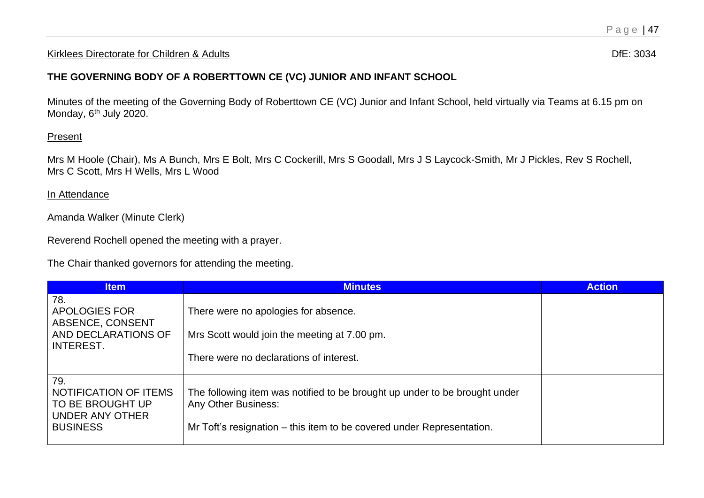## Kirklees Directorate for Children & Adults **Diferent Control of the United States** Dife: 3034

## **THE GOVERNING BODY OF A ROBERTTOWN CE (VC) JUNIOR AND INFANT SCHOOL**

Minutes of the meeting of the Governing Body of Roberttown CE (VC) Junior and Infant School, held virtually via Teams at 6.15 pm on Monday, 6<sup>th</sup> July 2020.

## Present

Mrs M Hoole (Chair), Ms A Bunch, Mrs E Bolt, Mrs C Cockerill, Mrs S Goodall, Mrs J S Laycock-Smith, Mr J Pickles, Rev S Rochell, Mrs C Scott, Mrs H Wells, Mrs L Wood

## In Attendance

Amanda Walker (Minute Clerk)

Reverend Rochell opened the meeting with a prayer.

The Chair thanked governors for attending the meeting.

| <b>Item</b>                                                                            | <b>Minutes</b>                                                                                                                                                                    | <b>Action</b> |
|----------------------------------------------------------------------------------------|-----------------------------------------------------------------------------------------------------------------------------------------------------------------------------------|---------------|
| 78.<br>APOLOGIES FOR<br>ABSENCE, CONSENT<br>AND DECLARATIONS OF<br><b>INTEREST.</b>    | There were no apologies for absence.<br>Mrs Scott would join the meeting at 7.00 pm.                                                                                              |               |
|                                                                                        | There were no declarations of interest.                                                                                                                                           |               |
| 79.<br>NOTIFICATION OF ITEMS<br>TO BE BROUGHT UP<br>UNDER ANY OTHER<br><b>BUSINESS</b> | The following item was notified to be brought up under to be brought under<br><b>Any Other Business:</b><br>Mr Toft's resignation – this item to be covered under Representation. |               |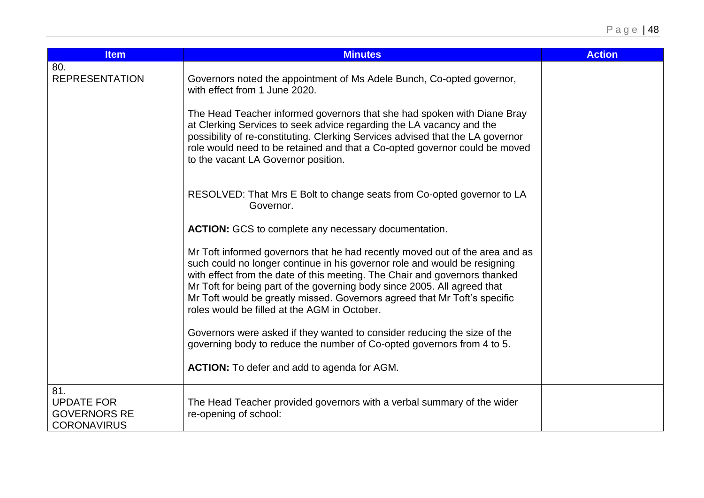| <b>Item</b>                                                           | <b>Minutes</b>                                                                                                                                                                                                                                                                                                                                                                                                                                   | <b>Action</b> |
|-----------------------------------------------------------------------|--------------------------------------------------------------------------------------------------------------------------------------------------------------------------------------------------------------------------------------------------------------------------------------------------------------------------------------------------------------------------------------------------------------------------------------------------|---------------|
| 80.<br><b>REPRESENTATION</b>                                          | Governors noted the appointment of Ms Adele Bunch, Co-opted governor,<br>with effect from 1 June 2020.                                                                                                                                                                                                                                                                                                                                           |               |
|                                                                       | The Head Teacher informed governors that she had spoken with Diane Bray<br>at Clerking Services to seek advice regarding the LA vacancy and the<br>possibility of re-constituting. Clerking Services advised that the LA governor<br>role would need to be retained and that a Co-opted governor could be moved<br>to the vacant LA Governor position.                                                                                           |               |
|                                                                       | RESOLVED: That Mrs E Bolt to change seats from Co-opted governor to LA<br>Governor.                                                                                                                                                                                                                                                                                                                                                              |               |
|                                                                       | <b>ACTION:</b> GCS to complete any necessary documentation.                                                                                                                                                                                                                                                                                                                                                                                      |               |
|                                                                       | Mr Toft informed governors that he had recently moved out of the area and as<br>such could no longer continue in his governor role and would be resigning<br>with effect from the date of this meeting. The Chair and governors thanked<br>Mr Toft for being part of the governing body since 2005. All agreed that<br>Mr Toft would be greatly missed. Governors agreed that Mr Toft's specific<br>roles would be filled at the AGM in October. |               |
|                                                                       | Governors were asked if they wanted to consider reducing the size of the<br>governing body to reduce the number of Co-opted governors from 4 to 5.                                                                                                                                                                                                                                                                                               |               |
|                                                                       | <b>ACTION:</b> To defer and add to agenda for AGM.                                                                                                                                                                                                                                                                                                                                                                                               |               |
| 81.<br><b>UPDATE FOR</b><br><b>GOVERNORS RE</b><br><b>CORONAVIRUS</b> | The Head Teacher provided governors with a verbal summary of the wider<br>re-opening of school:                                                                                                                                                                                                                                                                                                                                                  |               |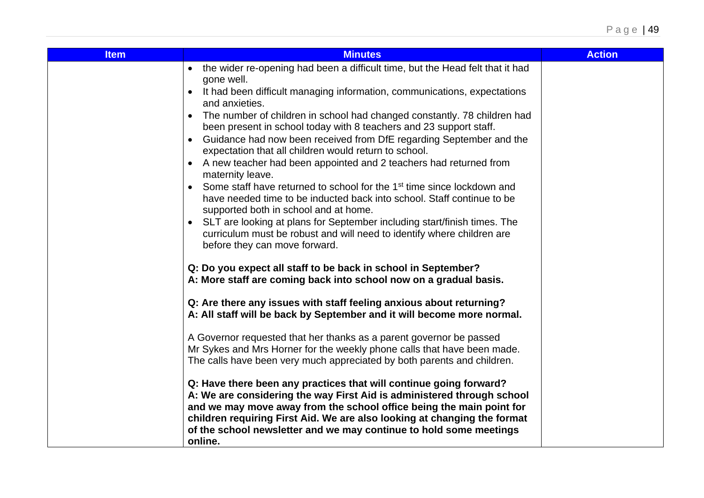| <b>Minutes</b>                                                                                                                                                                                                                                                                                                                                                                    | <b>Action</b>                                                                                                                                                                                                                                                                                       |
|-----------------------------------------------------------------------------------------------------------------------------------------------------------------------------------------------------------------------------------------------------------------------------------------------------------------------------------------------------------------------------------|-----------------------------------------------------------------------------------------------------------------------------------------------------------------------------------------------------------------------------------------------------------------------------------------------------|
| • the wider re-opening had been a difficult time, but the Head felt that it had                                                                                                                                                                                                                                                                                                   |                                                                                                                                                                                                                                                                                                     |
| It had been difficult managing information, communications, expectations<br>$\bullet$                                                                                                                                                                                                                                                                                             |                                                                                                                                                                                                                                                                                                     |
| The number of children in school had changed constantly. 78 children had<br>$\bullet$                                                                                                                                                                                                                                                                                             |                                                                                                                                                                                                                                                                                                     |
| Guidance had now been received from DfE regarding September and the<br>$\bullet$                                                                                                                                                                                                                                                                                                  |                                                                                                                                                                                                                                                                                                     |
| A new teacher had been appointed and 2 teachers had returned from<br>$\bullet$                                                                                                                                                                                                                                                                                                    |                                                                                                                                                                                                                                                                                                     |
| Some staff have returned to school for the 1 <sup>st</sup> time since lockdown and<br>$\bullet$<br>have needed time to be inducted back into school. Staff continue to be                                                                                                                                                                                                         |                                                                                                                                                                                                                                                                                                     |
| SLT are looking at plans for September including start/finish times. The<br>$\bullet$<br>curriculum must be robust and will need to identify where children are<br>before they can move forward.                                                                                                                                                                                  |                                                                                                                                                                                                                                                                                                     |
| Q: Do you expect all staff to be back in school in September?<br>A: More staff are coming back into school now on a gradual basis.                                                                                                                                                                                                                                                |                                                                                                                                                                                                                                                                                                     |
| Q: Are there any issues with staff feeling anxious about returning?<br>A: All staff will be back by September and it will become more normal.                                                                                                                                                                                                                                     |                                                                                                                                                                                                                                                                                                     |
| A Governor requested that her thanks as a parent governor be passed                                                                                                                                                                                                                                                                                                               |                                                                                                                                                                                                                                                                                                     |
| The calls have been very much appreciated by both parents and children.                                                                                                                                                                                                                                                                                                           |                                                                                                                                                                                                                                                                                                     |
| Q: Have there been any practices that will continue going forward?<br>A: We are considering the way First Aid is administered through school<br>and we may move away from the school office being the main point for<br>children requiring First Aid. We are also looking at changing the format<br>of the school newsletter and we may continue to hold some meetings<br>online. |                                                                                                                                                                                                                                                                                                     |
|                                                                                                                                                                                                                                                                                                                                                                                   | gone well.<br>and anxieties.<br>been present in school today with 8 teachers and 23 support staff.<br>expectation that all children would return to school.<br>maternity leave.<br>supported both in school and at home.<br>Mr Sykes and Mrs Horner for the weekly phone calls that have been made. |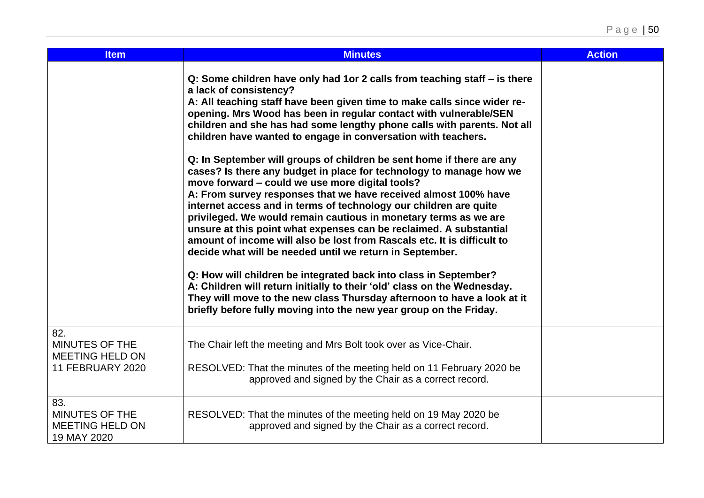| <b>Item</b>                                                                       | <b>Minutes</b>                                                                                                                                                                                                                                                                                                                                                                                                                                                                                                                                                                                                                                                                                                                                                                                                                                                                                                                                                                                                                                                                                                                                                                                                                                                                                                                | <b>Action</b> |
|-----------------------------------------------------------------------------------|-------------------------------------------------------------------------------------------------------------------------------------------------------------------------------------------------------------------------------------------------------------------------------------------------------------------------------------------------------------------------------------------------------------------------------------------------------------------------------------------------------------------------------------------------------------------------------------------------------------------------------------------------------------------------------------------------------------------------------------------------------------------------------------------------------------------------------------------------------------------------------------------------------------------------------------------------------------------------------------------------------------------------------------------------------------------------------------------------------------------------------------------------------------------------------------------------------------------------------------------------------------------------------------------------------------------------------|---------------|
|                                                                                   | Q: Some children have only had 1or 2 calls from teaching staff - is there<br>a lack of consistency?<br>A: All teaching staff have been given time to make calls since wider re-<br>opening. Mrs Wood has been in regular contact with vulnerable/SEN<br>children and she has had some lengthy phone calls with parents. Not all<br>children have wanted to engage in conversation with teachers.<br>Q: In September will groups of children be sent home if there are any<br>cases? Is there any budget in place for technology to manage how we<br>move forward - could we use more digital tools?<br>A: From survey responses that we have received almost 100% have<br>internet access and in terms of technology our children are quite<br>privileged. We would remain cautious in monetary terms as we are<br>unsure at this point what expenses can be reclaimed. A substantial<br>amount of income will also be lost from Rascals etc. It is difficult to<br>decide what will be needed until we return in September.<br>Q: How will children be integrated back into class in September?<br>A: Children will return initially to their 'old' class on the Wednesday.<br>They will move to the new class Thursday afternoon to have a look at it<br>briefly before fully moving into the new year group on the Friday. |               |
| 82.<br><b>MINUTES OF THE</b><br><b>MEETING HELD ON</b><br><b>11 FEBRUARY 2020</b> | The Chair left the meeting and Mrs Bolt took over as Vice-Chair.<br>RESOLVED: That the minutes of the meeting held on 11 February 2020 be<br>approved and signed by the Chair as a correct record.                                                                                                                                                                                                                                                                                                                                                                                                                                                                                                                                                                                                                                                                                                                                                                                                                                                                                                                                                                                                                                                                                                                            |               |
| 83.<br>MINUTES OF THE<br><b>MEETING HELD ON</b><br>19 MAY 2020                    | RESOLVED: That the minutes of the meeting held on 19 May 2020 be<br>approved and signed by the Chair as a correct record.                                                                                                                                                                                                                                                                                                                                                                                                                                                                                                                                                                                                                                                                                                                                                                                                                                                                                                                                                                                                                                                                                                                                                                                                     |               |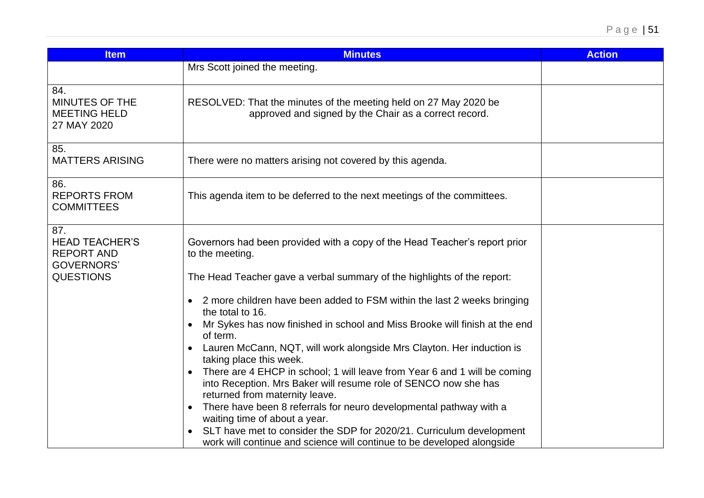| <b>Item</b>                                                            | <b>Minutes</b>                                                                                                                                                                              | <b>Action</b> |
|------------------------------------------------------------------------|---------------------------------------------------------------------------------------------------------------------------------------------------------------------------------------------|---------------|
|                                                                        | Mrs Scott joined the meeting.                                                                                                                                                               |               |
| 84.<br>MINUTES OF THE<br><b>MEETING HELD</b><br>27 MAY 2020            | RESOLVED: That the minutes of the meeting held on 27 May 2020 be<br>approved and signed by the Chair as a correct record.                                                                   |               |
| 85.<br><b>MATTERS ARISING</b>                                          | There were no matters arising not covered by this agenda.                                                                                                                                   |               |
| 86.<br><b>REPORTS FROM</b><br><b>COMMITTEES</b>                        | This agenda item to be deferred to the next meetings of the committees.                                                                                                                     |               |
| 87.<br><b>HEAD TEACHER'S</b><br><b>REPORT AND</b><br><b>GOVERNORS'</b> | Governors had been provided with a copy of the Head Teacher's report prior<br>to the meeting.                                                                                               |               |
| <b>QUESTIONS</b>                                                       | The Head Teacher gave a verbal summary of the highlights of the report:                                                                                                                     |               |
|                                                                        | 2 more children have been added to FSM within the last 2 weeks bringing<br>the total to 16.                                                                                                 |               |
|                                                                        | Mr Sykes has now finished in school and Miss Brooke will finish at the end<br>$\bullet$<br>of term.                                                                                         |               |
|                                                                        | Lauren McCann, NQT, will work alongside Mrs Clayton. Her induction is<br>$\bullet$<br>taking place this week.                                                                               |               |
|                                                                        | There are 4 EHCP in school; 1 will leave from Year 6 and 1 will be coming<br>$\bullet$<br>into Reception. Mrs Baker will resume role of SENCO now she has<br>returned from maternity leave. |               |
|                                                                        | There have been 8 referrals for neuro developmental pathway with a<br>$\bullet$<br>waiting time of about a year.                                                                            |               |
|                                                                        | SLT have met to consider the SDP for 2020/21. Curriculum development<br>work will continue and science will continue to be developed alongside                                              |               |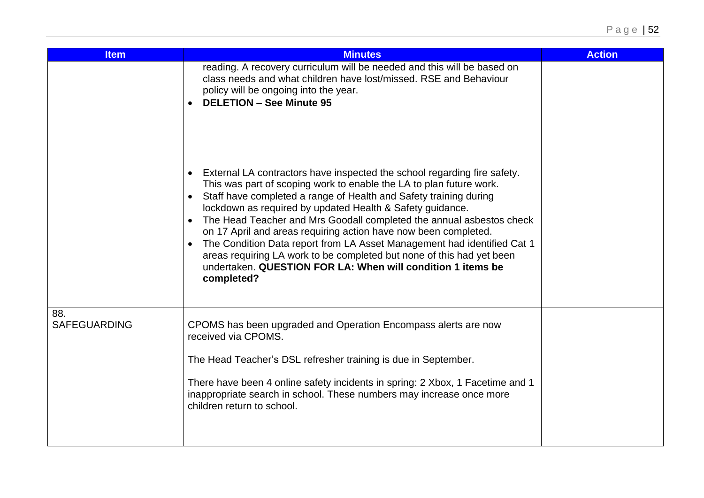| <b>Item</b>                | <b>Minutes</b>                                                                                                                                                                                                                                                                                                                                                                                                                                                                                                                                                                                                                                                                                                    | <b>Action</b> |
|----------------------------|-------------------------------------------------------------------------------------------------------------------------------------------------------------------------------------------------------------------------------------------------------------------------------------------------------------------------------------------------------------------------------------------------------------------------------------------------------------------------------------------------------------------------------------------------------------------------------------------------------------------------------------------------------------------------------------------------------------------|---------------|
|                            | reading. A recovery curriculum will be needed and this will be based on<br>class needs and what children have lost/missed. RSE and Behaviour<br>policy will be ongoing into the year.<br><b>DELETION - See Minute 95</b>                                                                                                                                                                                                                                                                                                                                                                                                                                                                                          |               |
|                            | External LA contractors have inspected the school regarding fire safety.<br>$\bullet$<br>This was part of scoping work to enable the LA to plan future work.<br>Staff have completed a range of Health and Safety training during<br>$\bullet$<br>lockdown as required by updated Health & Safety guidance.<br>The Head Teacher and Mrs Goodall completed the annual asbestos check<br>$\bullet$<br>on 17 April and areas requiring action have now been completed.<br>The Condition Data report from LA Asset Management had identified Cat 1<br>$\bullet$<br>areas requiring LA work to be completed but none of this had yet been<br>undertaken. QUESTION FOR LA: When will condition 1 items be<br>completed? |               |
| 88.<br><b>SAFEGUARDING</b> | CPOMS has been upgraded and Operation Encompass alerts are now<br>received via CPOMS.<br>The Head Teacher's DSL refresher training is due in September.<br>There have been 4 online safety incidents in spring: 2 Xbox, 1 Facetime and 1<br>inappropriate search in school. These numbers may increase once more<br>children return to school.                                                                                                                                                                                                                                                                                                                                                                    |               |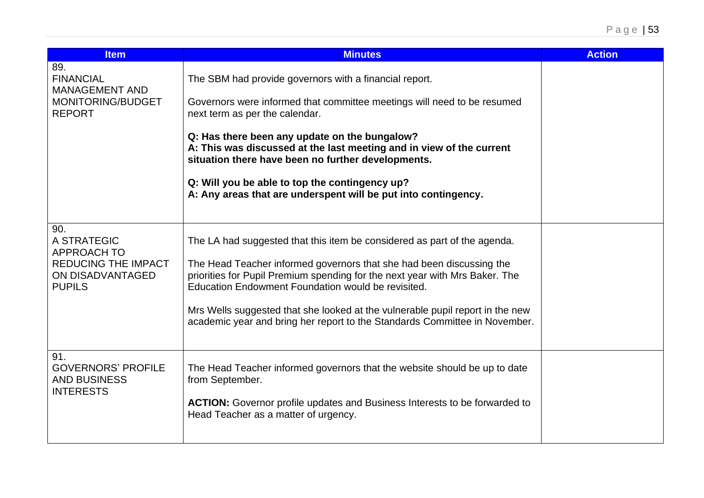| <b>Item</b>                                                                                                 | <b>Minutes</b>                                                                                                                                                                                                                                                                                                                                                                                                                                                         | <b>Action</b> |
|-------------------------------------------------------------------------------------------------------------|------------------------------------------------------------------------------------------------------------------------------------------------------------------------------------------------------------------------------------------------------------------------------------------------------------------------------------------------------------------------------------------------------------------------------------------------------------------------|---------------|
| 89.<br><b>FINANCIAL</b><br><b>MANAGEMENT AND</b><br>MONITORING/BUDGET<br><b>REPORT</b>                      | The SBM had provide governors with a financial report.<br>Governors were informed that committee meetings will need to be resumed<br>next term as per the calendar.<br>Q: Has there been any update on the bungalow?<br>A: This was discussed at the last meeting and in view of the current<br>situation there have been no further developments.<br>Q: Will you be able to top the contingency up?<br>A: Any areas that are underspent will be put into contingency. |               |
| 90.<br>A STRATEGIC<br><b>APPROACH TO</b><br><b>REDUCING THE IMPACT</b><br>ON DISADVANTAGED<br><b>PUPILS</b> | The LA had suggested that this item be considered as part of the agenda.<br>The Head Teacher informed governors that she had been discussing the<br>priorities for Pupil Premium spending for the next year with Mrs Baker. The<br>Education Endowment Foundation would be revisited.<br>Mrs Wells suggested that she looked at the vulnerable pupil report in the new<br>academic year and bring her report to the Standards Committee in November.                   |               |
| 91.<br><b>GOVERNORS' PROFILE</b><br><b>AND BUSINESS</b><br><b>INTERESTS</b>                                 | The Head Teacher informed governors that the website should be up to date<br>from September.<br><b>ACTION:</b> Governor profile updates and Business Interests to be forwarded to<br>Head Teacher as a matter of urgency.                                                                                                                                                                                                                                              |               |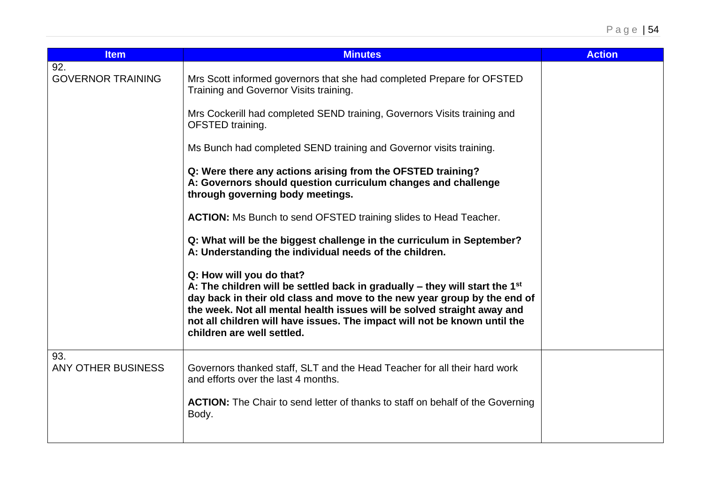| <b>Item</b>                     | <b>Minutes</b>                                                                                                                                                                                                                                                                                                                                                                          | <b>Action</b> |
|---------------------------------|-----------------------------------------------------------------------------------------------------------------------------------------------------------------------------------------------------------------------------------------------------------------------------------------------------------------------------------------------------------------------------------------|---------------|
| 92.<br><b>GOVERNOR TRAINING</b> | Mrs Scott informed governors that she had completed Prepare for OFSTED<br>Training and Governor Visits training.                                                                                                                                                                                                                                                                        |               |
|                                 | Mrs Cockerill had completed SEND training, Governors Visits training and<br>OFSTED training.                                                                                                                                                                                                                                                                                            |               |
|                                 | Ms Bunch had completed SEND training and Governor visits training.                                                                                                                                                                                                                                                                                                                      |               |
|                                 | Q: Were there any actions arising from the OFSTED training?<br>A: Governors should question curriculum changes and challenge<br>through governing body meetings.                                                                                                                                                                                                                        |               |
|                                 | <b>ACTION:</b> Ms Bunch to send OFSTED training slides to Head Teacher.                                                                                                                                                                                                                                                                                                                 |               |
|                                 | Q: What will be the biggest challenge in the curriculum in September?<br>A: Understanding the individual needs of the children.                                                                                                                                                                                                                                                         |               |
|                                 | Q: How will you do that?<br>A: The children will be settled back in gradually $-$ they will start the 1 <sup>st</sup><br>day back in their old class and move to the new year group by the end of<br>the week. Not all mental health issues will be solved straight away and<br>not all children will have issues. The impact will not be known until the<br>children are well settled. |               |
| 93.<br>ANY OTHER BUSINESS       | Governors thanked staff, SLT and the Head Teacher for all their hard work<br>and efforts over the last 4 months.                                                                                                                                                                                                                                                                        |               |
|                                 | <b>ACTION:</b> The Chair to send letter of thanks to staff on behalf of the Governing<br>Body.                                                                                                                                                                                                                                                                                          |               |
|                                 |                                                                                                                                                                                                                                                                                                                                                                                         |               |